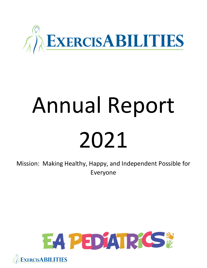

# Annual Report 2021

Mission: Making Healthy, Happy, and Independent Possible for Everyone



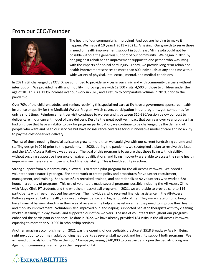## From our CEO/Founder



The health of our community is improving! And you are helping to make it happen. We made it 10 years! 2011 – 2021... Amazing! Our growth to serve those in need of health improvement support in Southeast Minnesota could not be possible without the generous support of our community. We began in 2011 by bringing post rehab health improvement support to one person who was living with the impacts of a spinal cord injury. Today, we provide long term rehab and health improvement services to more than 800 individuals at any one time with a wide variety of physical, intellectual, mental, and medical conditions.

In 2021, still challenged by COVID, we continued to provide services in our clinic and with community partners without interruption. We provided health and mobility improving care with 19,500 visits, 4,500 of those to children under the age of 18. This is a 113% increase over our work in 2020, and a return to comparative volume in 2019, prior to the pandemic.

Over 70% of the children, adults, and seniors receiving this specialized care at EA have a government sponsored health insurance or qualify for the Medicaid Waiver Program which covers participation in our programs, yet, sometimes for only a short time. Reimbursement per visit continues to worsen and is between \$10-\$30/session below our cost to deliver care in our current model of care delivery. Despite the great positive impact that our year over year progress has had on those that have an ability to pay for program participation, we continue to be challenged by the demand of people who want and need our services but have no insurance coverage for our innovative model of care and no ability to pay the cost-of-service delivery.

The list of those needing financial assistance grew to more than we could give with our current fundraising volume and staffing design in 2019 prior to the pandemic. In 2020, during the pandemic, we strategized a plan to resolve this issue and the EA All-Access Pathway was created. The goal of this program is to assure that those living with disability, without ongoing supportive insurance or waiver qualifications, and living in poverty were able to access the same health improving wellness care as those who had financial ability. This is health equity in action.

Strong support from our community, allowed us to start a pilot program for the All-Access Pathway. We added a volunteer coordinator 1 year ago. She set to work to create policy and procedures for volunteer recruitment, management, and training. She successfully recruited, trained, and operationalized 92 volunteers who worked 628 hours in a variety of programs. This use of volunteers made several programs possible including the All-Access Clinic with Mayo Clinic PT students and the wheelchair basketball program. In 2021, we were able to provide care to 114 participants with free or reduced fee services. The individuals who received financial assistance in the All-Access Pathway reported better health, improved independence, and higher quality of life. They were grateful to no longer have financial barriers standing in their way of receiving the help and assistance that they need to improve their health and mobility improvement. Volunteers also improved our landscaping, supported pediatric therapists with toy cleaning, worked at family fun day events, and supported our office workers. The use of volunteers throughout our programs enhanced the participant experience. To date in 2022, we have already provided 184 visits in the All-Access Pathway, equating to more than \$10,000 in scholarship services.

Another amazing accomplishment in 2021 was the opening of our pediatric practice at 2518 Broadway Ave N. Being right next door to our main adult building has it perks as several staff go back and forth to support both programs. We achieved our goals for the "Raise the Roof" Campaign, raising \$240,000 to construct and open the pediatric program. Again, our community is amazing in their support of EA!

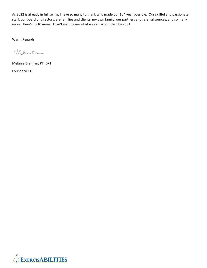As 2022 is already in full swing, I have so many to thank who made our 10<sup>th</sup> year possible. Our skillful and passionate staff, our board of directors, are families and clients, my own family, our partners and referral sources, and so many more. Here's to 10 more! I can't wait to see what we can accomplish by 2031!

Warm Regards,

Mclanie Brenson

Melanie Brennan, PT, DPT Founder/CEO

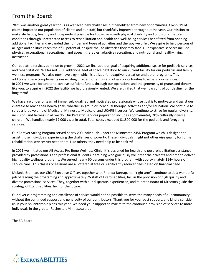# From the Board:

2021 was another great year for us as we faced new challenges but benefitted from new opportunities. Covid- 19 of course impacted our population of clients and our staff, but thankfully improved throughout the year. Our mission to make life happy, healthy and independent possible for those living with physical disability and or chronic medical conditions through unrestricted access to rehabilitation and health and well-being services benefitted from opening additional facilities and expanded the number and types of activities and therapy we offer. We aspire to help persons of all ages and abilities reach their full potential, despite the life obstacles they may face. Our expansive services include physical, occupational, recreational, and speech therapies, adaptive recreation, and nutritional and healthy living instruction.

Our pediatric services continue to grow. In 2021 we finalized our goal of acquiring additional space for pediatric services and rehabilitation! We leased 5000 additional feet of space next door to our current facility for our pediatric and family wellness programs. We also now have a gym which is utilized for adaptive recreation and other programs. This additional space complements our existing program offerings and offers opportunities to expand our services. In 2021 we were fortunate to achieve sufficient funds, through our operations and the generosity of grants and donors like you, to acquire in 2022 the facility we had previously rented. We are thrilled that we now control our destiny for the long term!

We have a wonderful team of immensely qualified and motivated professionals whose goal is to motivate and assist our clientele to reach their health goals, whether in group or individual therapy, activities and/or education. We continue to serve a large volume of Medicare, Minnesota Medicaid, and UCARE insureds. We continue to strive for equity, diversity, inclusion, and fairness in all we do. Our Pediatric services population includes approximately 20% culturally diverse children. We handled nearly 19,000 visits in total. Total costs exceeded \$1,800,000 for the pediatric and foregoing services.

Our Forever Strong Program served nearly 200 individuals under the Minnesota 245D Program which is designed to assist those individuals experiencing the challenges of poverty. These individuals might not otherwise qualify for formal rehabilitation services yet need them. Like others, they need help to be healthy!

In 2021 we initiated our All-Access Pro Bono Wellness Clinic! It is designed for health and post rehabilitation assistance provided by professionals and professional students in training who graciously volunteer their talents and time to deliver high quality wellness programs. We served nearly 60 persons under this program with approximately 114+ hours of service care. This classes or sessions are all offered at free or significantly reduced fees based on financial need.

Melanie Brennan, our Chief Executive Officer, together with Rhonda Burnap, her "right arm", continue to do a wonderful job of leading the programing and approximately 26 staff of Exercisabilities, Inc. in the provision of high quality and diverse professional services. They, together with our disparate, experienced, and talented Board of Directors guide the strategy of Exercisabilities, Inc. for the future.

Our diverse programming and excellence of service would not be possible to serve the many needs of our community without the continued support and generosity of our contributors. Thank you for your past support, and kindly consider us in your philanthropic plans this year. We need your support to maximize the continued provision of services to more individuals in the greater Rochester, Minnesota area!

The EA Board

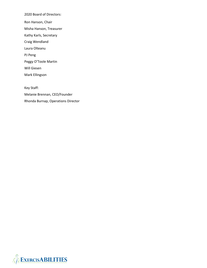2020 Board of Directors:

Ron Hanson, Chair

Misha Hanson, Treasurer

Kathy Karls, Secretary

Craig Wendland

Laura Olteanu

PJ Peng

Peggy O'Toole Martin

Will Giesen

Mark Ellingson

Key Staff:

Melanie Brennan, CEO/Founder Rhonda Burnap, Operations Director

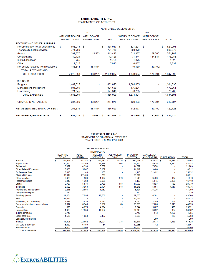#### **EXERCISABILITIES, INC.** STATEMENTS OF ACTIVITIES

|                                       | YEAR ENDED DECEMBER 31. |                     |                    |                   |              |            |                                             |           |                    |                   |     |              |  |  |
|---------------------------------------|-------------------------|---------------------|--------------------|-------------------|--------------|------------|---------------------------------------------|-----------|--------------------|-------------------|-----|--------------|--|--|
|                                       |                         |                     |                    | 2021              |              |            | 2020                                        |           |                    |                   |     |              |  |  |
|                                       | <b>WITHOUT DONOR</b>    |                     |                    | <b>WITH DONOR</b> | <b>TOTAL</b> |            | <b>WITHOUT DONOR</b><br><b>RESTRICTIONS</b> |           |                    | <b>WITH DONOR</b> |     |              |  |  |
|                                       |                         | <b>RESTRICTIONS</b> | <b>RESTRICIONS</b> |                   |              |            |                                             |           | <b>RESTRICIONS</b> |                   |     | <b>TOTAL</b> |  |  |
| <b>REVENUE AND OTHER SUPPORT</b>      |                         |                     |                    |                   |              |            |                                             |           |                    |                   |     |              |  |  |
| Rehab therapy, net of adjustments     | \$                      | 858,013 \$          |                    | $\sim$            | \$           | 858,013 \$ |                                             | 821.291   | - \$               | a.                | \$. | 821,291      |  |  |
| Therapeutic health services           |                         | 771.739             |                    |                   |              | 771.739    |                                             | 390,370   |                    |                   |     | 390,370      |  |  |
| Grants                                |                         | 397,877             |                    | 15,563            |              | 413,440    |                                             | 512,987   |                    | 39,000            |     | 551,987      |  |  |
| Contributions                         |                         | 42.125              |                    |                   |              | 42,125     |                                             | 31,444    |                    | 144,844           |     | 176,288      |  |  |
| In-kind donations                     |                         | 9,755               |                    |                   |              | 9,755      |                                             | 1,025     |                    |                   |     | 1,025        |  |  |
| Other                                 |                         | 7,015               |                    |                   |              | 7,015      |                                             | 6,637     |                    |                   |     | 6,637        |  |  |
| Net assets released from restrictions |                         | 183,844             |                    | (183, 844)        |              |            |                                             | 10,150    |                    | (10, 150)         |     |              |  |  |
| <b>TOTAL REVENUE AND</b>              |                         |                     |                    |                   |              |            |                                             |           |                    |                   |     |              |  |  |
| <b>OTHER SUPPORT</b>                  |                         | 2.270,368           |                    | (168, 281)        |              | 2,102,087  |                                             | 1,773,904 |                    | 173,694           |     | 1,947,598    |  |  |
| <b>EXPENSES</b>                       |                         |                     |                    |                   |              |            |                                             |           |                    |                   |     |              |  |  |
| Program                               |                         | 1,462,025           |                    |                   |              | 1,462,025  |                                             | 1,384,835 |                    |                   |     | 1,384,835    |  |  |
| Management and general                |                         | 301,639             |                    |                   |              | 301,639    |                                             | 176,261   |                    |                   |     | 176,261      |  |  |
| Fundraising                           |                         | 121,345             |                    |                   |              | 121,345    |                                             | 73,705    |                    |                   |     | 73,705       |  |  |
| <b>TOTAL EXPENSES</b>                 |                         | 1,885,009           |                    |                   |              | 1,885,009  |                                             | 1,634,801 |                    |                   |     | 1,634,801    |  |  |
| <b>CHANGE IN NET ASSETS</b>           |                         | 385,359             |                    | (168, 281)        |              | 217,078    |                                             | 139,103   |                    | 173,694           |     | 312,797      |  |  |
| NET ASSETS, BEGINNING OF YEAR         |                         | 251,676             |                    | 183,844           |              | 435,520    |                                             | 112,573   |                    | 10,150            |     | 122,723      |  |  |
| <b>NET ASSETS, END OF YEAR</b>        | \$                      | 637,035             | \$                 | 15,563            | s            | 652,598    | \$                                          | 251,676   | s                  | 183,844           | S   | 435,520      |  |  |

## **EXERCISABILITIES, INC.** STATEMENT OF FUNCTIONAL EXPENSES<br>YEAR ENDED DECEMBER 31, 2021

|                                  |   | <b>PROGRAM SERVICES</b>      |   |                                  |    |                    |                                    |                          |                                   |              |                                  |            |                    |         |              |           |
|----------------------------------|---|------------------------------|---|----------------------------------|----|--------------------|------------------------------------|--------------------------|-----------------------------------|--------------|----------------------------------|------------|--------------------|---------|--------------|-----------|
|                                  |   |                              |   |                                  |    | <b>THERAPEUTIC</b> |                                    |                          |                                   |              |                                  |            |                    |         |              |           |
| <b>PEDIATRIC</b><br><b>REHAB</b> |   | <b>ADULT</b><br><b>REHAB</b> |   | <b>HEALTH</b><br><b>SERVICES</b> |    |                    | <b>ALL ACCESS</b><br><b>CLINIC</b> |                          | <b>PROGRAM</b><br><b>SUBTOTAL</b> |              | <b>MANAGEMENT</b><br>AND GENERAL |            | <b>FUNDRAISING</b> |         | <b>TOTAL</b> |           |
| Salaries                         | S | 352.953 \$                   |   | 244.784 \$                       |    | 366,030 \$         |                                    | 25,326                   | \$                                | 989.093      | - \$                             | 152,974 \$ |                    | 93.887  | s            | 1,235,954 |
| Payroll taxes                    |   | 30,320                       |   | 18,759                           |    | 24,318             |                                    | 802                      |                                   | 74,199       |                                  | 5,675      |                    | 8,440   |              | 88,314    |
| Retirement                       |   | 3,879                        |   | 4,398                            |    | 5,752              |                                    |                          |                                   | 14,029       |                                  | 7,874      |                    |         |              | 21,903    |
| <b>Other Related Expenses</b>    |   | 3,466                        |   | 5,067                            |    | 6,267              |                                    | 12                       |                                   | 14,812       |                                  | 3,400      |                    |         |              | 18,212    |
| <b>Professional fees</b>         |   | 3,840                        |   | 140                              |    | 160                |                                    |                          |                                   | 4.140        |                                  | 21,492     |                    |         |              | 25,632    |
| <b>Client billing fees</b>       |   | 30,614                       |   | 27,466                           |    | 231                |                                    | $\overline{\phantom{a}}$ |                                   | 58,311       |                                  |            |                    |         |              | 58,311    |
| Office supplies                  |   | 2.436                        |   | 1.909                            |    | 1,922              |                                    | 276                      |                                   | 6,543        |                                  | 3,789      |                    | 687     |              | 11,019    |
| Program supplies                 |   | 2.413                        |   | 1.368                            |    | 3,628              |                                    |                          |                                   | 7.409        |                                  | 5,045      |                    | 3,965   |              | 16,419    |
| <b>Utilities</b>                 |   | 5,727                        |   | 5,576                            |    | 5,708              |                                    | 558                      |                                   | 17,569       |                                  | 6.027      |                    | 183     |              | 23,779    |
| Insurance                        |   | 3,500                        |   | 3,063                            |    | 3,194              |                                    | 1,518                    |                                   | 11,275       |                                  | 5,884      |                    | 1,617   |              | 18,776    |
| Repairs and maintenance          |   | 2,216                        |   | 2,856                            |    | 1,052              |                                    |                          |                                   | 6,124        |                                  | 35,226     |                    |         |              | 41,350    |
| Equipment and pool               |   | 179                          |   |                                  |    |                    |                                    |                          |                                   | 179          |                                  |            |                    |         |              | 179       |
| Small equipment                  |   | 11,204                       |   | 7,095                            |    | 18,706             |                                    |                          |                                   | 37,005       |                                  | 6.201      |                    |         |              | 43,206    |
| Rent                             |   | 44,622                       |   |                                  |    |                    |                                    |                          |                                   | 44,622       |                                  |            |                    |         |              | 44,622    |
| Advertising and marketing        |   | 4,633                        |   | 2,426                            |    | 1,531              |                                    | $\overline{\phantom{0}}$ |                                   | 8,590        |                                  | 12,789     |                    | 451     |              | 21,830    |
| Dues, memberships, subscriptions |   | 7.017                        |   | 6,346                            |    | 9,962              |                                    | 63                       |                                   | 23,388       |                                  | 12,086     |                    | 8,619   |              | 44,093    |
| Education                        |   | 675                          |   | 4,275                            |    | 4,894              |                                    |                          |                                   | 9.844        |                                  | 15,607     |                    | 470     |              | 25,921    |
| Depreciation                     |   | 1,433                        |   | 17,953                           |    | 14,962             |                                    |                          |                                   | 34,348       |                                  | 3,632      |                    | 382     |              | 38,362    |
| In-kind donations                |   | 2.745                        |   |                                  |    |                    |                                    | ۰                        |                                   | 2.745        |                                  | 843        |                    | 1,167   |              | 4,755     |
| Credit card fees                 |   | 1,538                        |   | 1,653                            |    | 2,437              |                                    |                          |                                   | 5,628        |                                  | 1          |                    | 139     |              | 5.768     |
| <b>Bank service charges</b>      |   |                              |   |                                  |    |                    |                                    |                          |                                   |              |                                  | 209        |                    |         |              | 209       |
| Interest                         |   | 14,306                       |   | 22,652                           |    | 25,021             |                                    | 1,338                    |                                   | 63,317       |                                  | 2,873      |                    | 1,338   |              | 67,528    |
| MN Care & sales tax              |   | 6,632                        |   | 6,159                            |    | 64                 |                                    |                          |                                   | 12,855       |                                  | 12         |                    |         |              | 12,867    |
| Subcontractors                   |   | 8,000                        |   | 8.000                            |    |                    |                                    |                          |                                   | 16,000       |                                  |            |                    |         |              | 16,000    |
| <b>TOTAL EXPENSES</b>            |   | 544.348                      | s | 391.945                          | s. | 495,839            | s                                  | 29,893                   | s                                 | 1,462,025 \$ |                                  | 301.639    | s                  | 121,345 | s            | 1,885,009 |

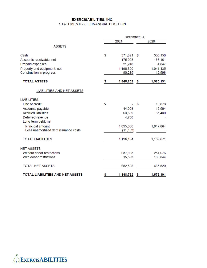### **EXERCISABILITIES, INC.** STATEMENTS OF FINANCIAL POSITION

| December 31, |           |                     |           |  |  |  |
|--------------|-----------|---------------------|-----------|--|--|--|
|              | 2021      |                     | 2020      |  |  |  |
|              |           |                     |           |  |  |  |
| \$           | 371,821   | \$                  | 350,150   |  |  |  |
|              | 175,028   |                     | 166,161   |  |  |  |
|              | 21,248    |                     | 4,847     |  |  |  |
|              | 1,190,390 |                     | 1,041,435 |  |  |  |
|              |           |                     | 12,598    |  |  |  |
| \$           | 1,848,752 | \$                  | 1,575,191 |  |  |  |
|              |           |                     |           |  |  |  |
|              |           |                     |           |  |  |  |
| \$           |           | \$                  | 16,873    |  |  |  |
|              | 44,008    |                     | 19,504    |  |  |  |
|              | 63,869    |                     | 85,430    |  |  |  |
|              | 4,760     |                     |           |  |  |  |
|              |           |                     |           |  |  |  |
|              | 1,095,000 |                     | 1,017,864 |  |  |  |
|              |           |                     |           |  |  |  |
|              | 1,196,154 |                     | 1,139,671 |  |  |  |
|              |           |                     |           |  |  |  |
|              | 637,035   |                     | 251,676   |  |  |  |
|              | 15,563    |                     | 183,844   |  |  |  |
|              | 652,598   |                     | 435,520   |  |  |  |
| \$           | 1,848,752 | \$                  | 1,575,191 |  |  |  |
|              |           | 90,265<br>(11, 483) |           |  |  |  |